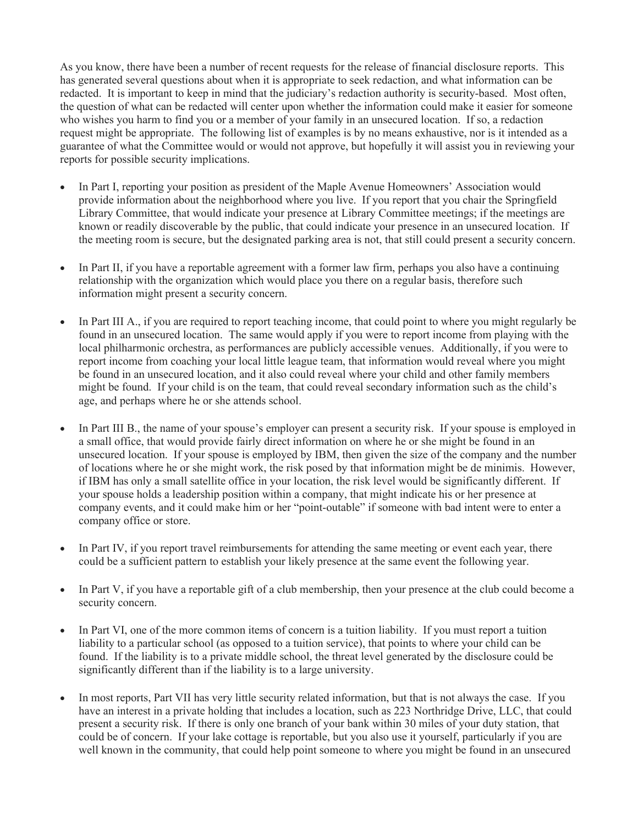As you know, there have been a number of recent requests for the release of financial disclosure reports. This has generated several questions about when it is appropriate to seek redaction, and what information can be redacted. It is important to keep in mind that the judiciary's redaction authority is security-based. Most often, the question of what can be redacted will center upon whether the information could make it easier for someone who wishes you harm to find you or a member of your family in an unsecured location. If so, a redaction request might be appropriate. The following list of examples is by no means exhaustive, nor is it intended as a guarantee of what the Committee would or would not approve, but hopefully it will assist you in reviewing your reports for possible security implications.

- In Part I, reporting your position as president of the Maple Avenue Homeowners' Association would provide information about the neighborhood where you live. If you report that you chair the Springfield Library Committee, that would indicate your presence at Library Committee meetings; if the meetings are known or readily discoverable by the public, that could indicate your presence in an unsecured location. If the meeting room is secure, but the designated parking area is not, that still could present a security concern.
- In Part II, if you have a reportable agreement with a former law firm, perhaps you also have a continuing relationship with the organization which would place you there on a regular basis, therefore such information might present a security concern.
- In Part III A., if you are required to report teaching income, that could point to where you might regularly be found in an unsecured location. The same would apply if you were to report income from playing with the local philharmonic orchestra, as performances are publicly accessible venues. Additionally, if you were to report income from coaching your local little league team, that information would reveal where you might be found in an unsecured location, and it also could reveal where your child and other family members might be found. If your child is on the team, that could reveal secondary information such as the child's age, and perhaps where he or she attends school.
- In Part III B., the name of your spouse's employer can present a security risk. If your spouse is employed in a small office, that would provide fairly direct information on where he or she might be found in an unsecured location. If your spouse is employed by IBM, then given the size of the company and the number of locations where he or she might work, the risk posed by that information might be de minimis. However, if IBM has only a small satellite office in your location, the risk level would be significantly different. If your spouse holds a leadership position within a company, that might indicate his or her presence at company events, and it could make him or her "point-outable" if someone with bad intent were to enter a company office or store.
- In Part IV, if you report travel reimbursements for attending the same meeting or event each year, there could be a sufficient pattern to establish your likely presence at the same event the following year.
- In Part V, if you have a reportable gift of a club membership, then your presence at the club could become a security concern.
- In Part VI, one of the more common items of concern is a tuition liability. If you must report a tuition liability to a particular school (as opposed to a tuition service), that points to where your child can be found. If the liability is to a private middle school, the threat level generated by the disclosure could be significantly different than if the liability is to a large university.
- In most reports, Part VII has very little security related information, but that is not always the case. If you have an interest in a private holding that includes a location, such as 223 Northridge Drive, LLC, that could present a security risk. If there is only one branch of your bank within 30 miles of your duty station, that could be of concern. If your lake cottage is reportable, but you also use it yourself, particularly if you are well known in the community, that could help point someone to where you might be found in an unsecured